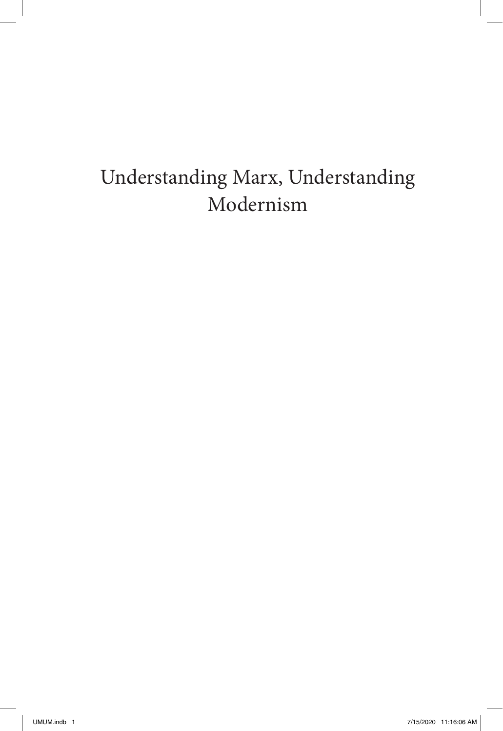## <span id="page-0-0"></span>Understanding Marx, Understanding Modernism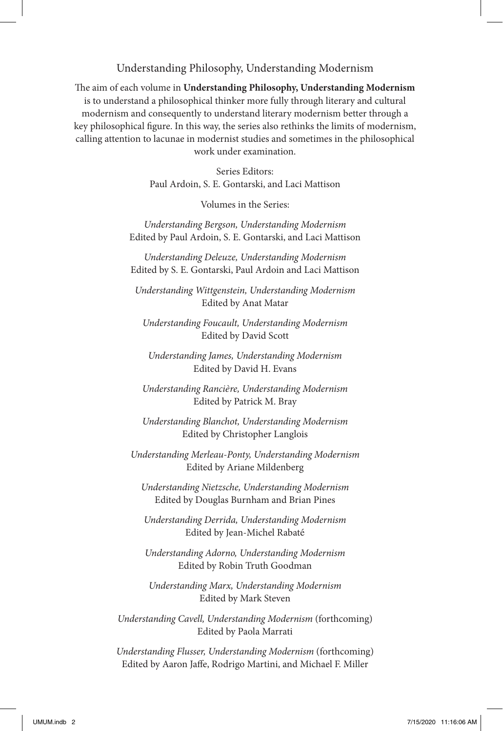#### Understanding Philosophy, Understanding Modernism

The aim of each volume in **Understanding Philosophy, Understanding Modernism** is to understand a philosophical thinker more fully through literary and cultural modernism and consequently to understand literary modernism better through a key philosophical figure. In this way, the series also rethinks the limits of modernism, calling attention to lacunae in modernist studies and sometimes in the philosophical work under examination.

> Series Editors: Paul Ardoin, S. E. Gontarski, and Laci Mattison

> > Volumes in the Series:

*Understanding Bergson, Understanding Modernism* Edited by Paul Ardoin, S. E. Gontarski, and Laci Mattison

*Understanding Deleuze, Understanding Modernism* Edited by S. E. Gontarski, Paul Ardoin and Laci Mattison

*Understanding Wittgenstein, Understanding Modernism* Edited by Anat Matar

*Understanding Foucault, Understanding Modernism* Edited by David Scott

*Understanding James, Understanding Modernism* Edited by David H. Evans

*Understanding Rancière, Understanding Modernism* Edited by Patrick M. Bray

*Understanding Blanchot, Understanding Modernism* Edited by Christopher Langlois

*Understanding Merleau-Ponty, Understanding Modernism* Edited by Ariane Mildenberg

*Understanding Nietzsche, Understanding Modernism* Edited by Douglas Burnham and Brian Pines

*Understanding Derrida, Understanding Modernism* Edited by Jean-Michel Rabaté

*Understanding Adorno, Understanding Modernism* Edited by Robin Truth Goodman

*Understanding Marx, Understanding Modernism* Edited by Mark Steven

*Understanding Cavell, Understanding Modernism* (forthcoming) Edited by Paola Marrati

*Understanding Flusser, Understanding Modernism* (forthcoming) Edited by Aaron Jaffe, Rodrigo Martini, and Michael F. Miller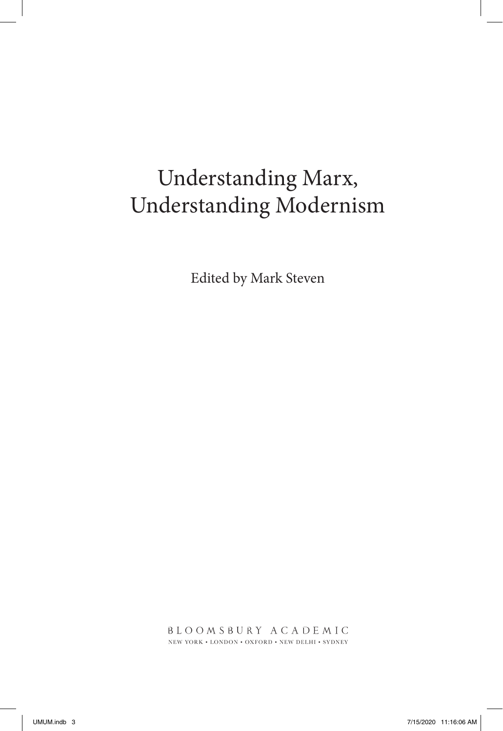# Understanding Marx, Understanding Modernism

Edited by Mark Steven

**BLOOMSBURY ACADEMIC** NEW YORK  $\boldsymbol{\cdot}$  LONDON  $\boldsymbol{\cdot}$  OXFORD  $\boldsymbol{\cdot}$  NEW DELHI  $\boldsymbol{\cdot}$  SYDNEY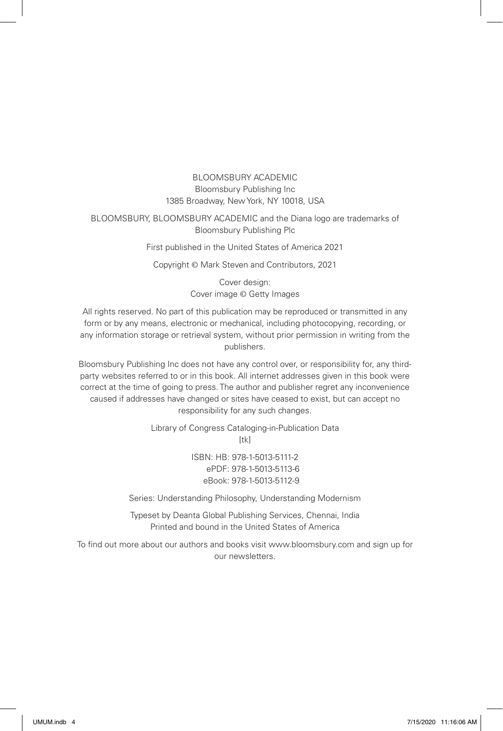### BLOOMSBURY ACADEMIC Bloomsbury Publishing Inc 1385 Broadway, New York, NY 10018, USA

BLOOMSBURY, BLOOMSBURY ACADEMIC and the Diana logo are trademarks of Bloomsbury Publishing Plc

First published in the United States of America 2021

Copyright © Mark Steven and Contributors, 2021

Cover design: Cover image © Getty Images

All rights reserved. No part of this publication may be reproduced or transmitted in any form or by any means, electronic or mechanical, including photocopying, recording, or any information storage or retrieval system, without prior permission in writing from the publishers.

Bloomsbury Publishing Inc does not have any control over, or responsibility for, any thirdparty websites referred to or in this book. All internet addresses given in this book were correct at the time of going to press. The author and publisher regret any inconvenience caused if addresses have changed or sites have ceased to exist, but can accept no responsibility for any such changes.

> Library of Congress Cataloging-in-Publication Data  $[tk]$

> > ISBN: HB: 978-1-5013-5111-2 ePDF: 978-1-5013-5113-6 eBook: 978-1-5013-5112-9

Series: Understanding Philosophy, Understanding Modernism

Typeset by Deanta Global Publishing Services, Chennai, India Printed and bound in the United States of America

To find out more about our authors and books visit www.bloomsbury.com and sign up for our newsletters.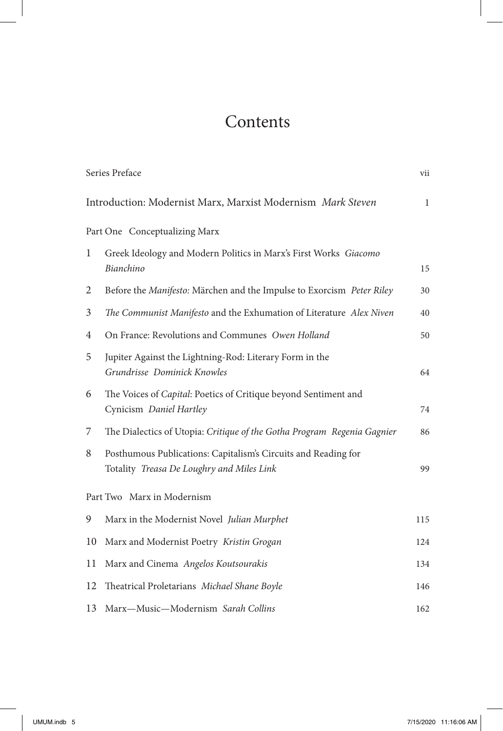## **Contents**

|    | Series Preface                                                                                              | vii          |
|----|-------------------------------------------------------------------------------------------------------------|--------------|
|    | Introduction: Modernist Marx, Marxist Modernism Mark Steven                                                 | $\mathbf{1}$ |
|    | Part One Conceptualizing Marx                                                                               |              |
| 1  | Greek Ideology and Modern Politics in Marx's First Works Giacomo<br>Bianchino                               | 15           |
| 2  | Before the Manifesto: Märchen and the Impulse to Exorcism Peter Riley                                       | 30           |
| 3  | The Communist Manifesto and the Exhumation of Literature Alex Niven                                         | 40           |
| 4  | On France: Revolutions and Communes Owen Holland                                                            | 50           |
| 5  | Jupiter Against the Lightning-Rod: Literary Form in the<br>Grundrisse Dominick Knowles                      | 64           |
| 6  | The Voices of Capital: Poetics of Critique beyond Sentiment and<br>Cynicism Daniel Hartley                  | 74           |
| 7  | The Dialectics of Utopia: Critique of the Gotha Program Regenia Gagnier                                     | 86           |
| 8  | Posthumous Publications: Capitalism's Circuits and Reading for<br>Totality Treasa De Loughry and Miles Link | 99           |
|    | Part Two Marx in Modernism                                                                                  |              |
| 9  | Marx in the Modernist Novel Julian Murphet                                                                  | 115          |
| 10 | Marx and Modernist Poetry Kristin Grogan                                                                    | 124          |
| 11 | Marx and Cinema Angelos Koutsourakis                                                                        | 134          |
| 12 | Theatrical Proletarians Michael Shane Boyle                                                                 | 146          |
| 13 | Marx-Music-Modernism Sarah Collins                                                                          | 162          |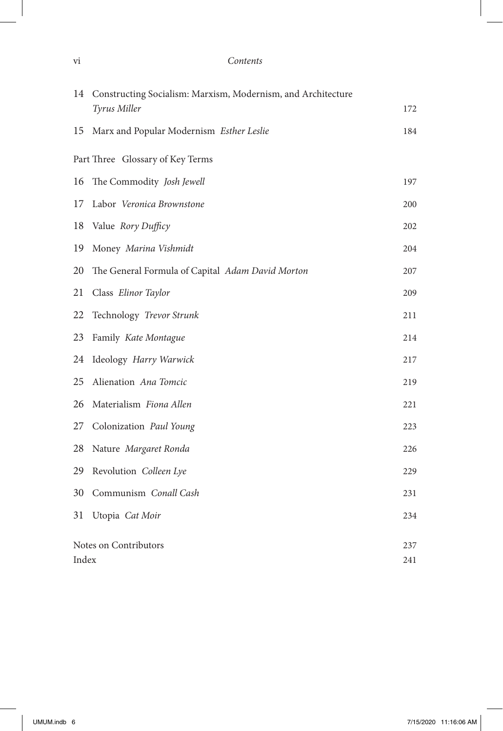### vi *Contents*

| 14                    | Constructing Socialism: Marxism, Modernism, and Architecture |     |
|-----------------------|--------------------------------------------------------------|-----|
|                       | Tyrus Miller                                                 | 172 |
| 15                    | Marx and Popular Modernism Esther Leslie                     | 184 |
|                       | Part Three Glossary of Key Terms                             |     |
| 16                    | The Commodity Josh Jewell                                    | 197 |
| 17                    | Labor Veronica Brownstone                                    | 200 |
| 18                    | Value Rory Dufficy                                           | 202 |
| 19                    | Money Marina Vishmidt                                        | 204 |
| 20                    | The General Formula of Capital Adam David Morton             | 207 |
| 21                    | Class Elinor Taylor                                          | 209 |
| 22                    | Technology Trevor Strunk                                     | 211 |
| 23                    | Family Kate Montague                                         | 214 |
| 24                    | Ideology Harry Warwick                                       | 217 |
| 25                    | Alienation Ana Tomcic                                        | 219 |
| 26                    | Materialism Fiona Allen                                      | 221 |
| 27                    | Colonization Paul Young                                      | 223 |
| 28                    | Nature Margaret Ronda                                        | 226 |
| 29                    | Revolution Colleen Lye                                       | 229 |
| 30                    | Communism Conall Cash                                        | 231 |
| 31                    | Utopia Cat Moir                                              | 234 |
| Notes on Contributors |                                                              | 237 |
| Index                 |                                                              | 241 |

 $\overline{\phantom{a}}$ 

T

I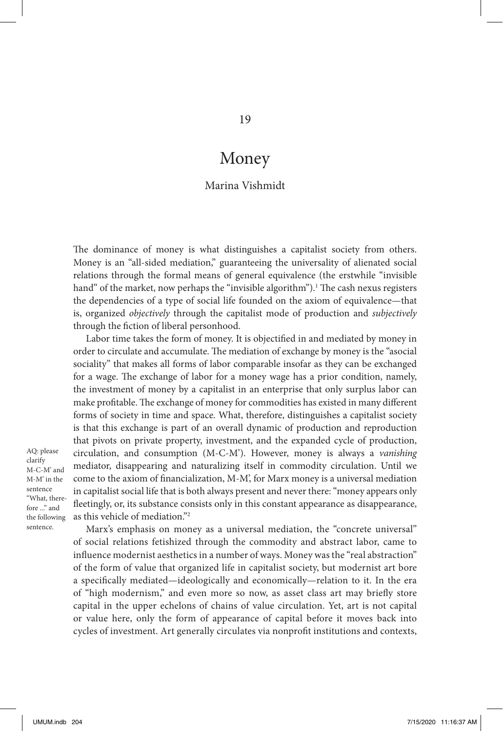### Money

#### Marina Vishmidt

The dominance of money is what distinguishes a capitalist society from others. Money is an "all-sided mediation," guaranteeing the universality of alienated social relations through the formal means of general equivalence (the erstwhile "invisible hand" of the market, now perhaps the "invisible algorithm").<sup>1</sup> The cash nexus registers the dependencies of a type of social life founded on the axiom of equivalence—that is, organized *objectively* through the capitalist mode of production and *subjectively* through the fiction of liberal personhood.

Labor time takes the form of money. It is objectified in and mediated by money in order to circulate and accumulate. The mediation of exchange by money is the "asocial sociality" that makes all forms of labor comparable insofar as they can be exchanged for a wage. The exchange of labor for a money wage has a prior condition, namely, the investment of money by a capitalist in an enterprise that only surplus labor can make profitable. The exchange of money for commodities has existed in many different forms of society in time and space. What, therefore, distinguishes a capitalist society is that this exchange is part of an overall dynamic of production and reproduction that pivots on private property, investment, and the expanded cycle of production, circulation, and consumption (M-C-M'). However, money is always a *vanishing* mediator, disappearing and naturalizing itself in commodity circulation. Until we come to the axiom of financialization, M-M', for Marx money is a universal mediation in capitalist social life that is both always present and never there: "money appears only fleetingly, or, its substance consists only in this constant appearance as disappearance, as this vehicle of mediation."2

AQ: please clarify M-C-M' and M-M' in the sentence "What, therefore ..." and the following sentence.

Marx's emphasis on money as a universal mediation, the "concrete universal" of social relations fetishized through the commodity and abstract labor, came to influence modernist aesthetics in a number of ways. Money was the "real abstraction" of the form of value that organized life in capitalist society, but modernist art bore a specifically mediated—ideologically and economically—relation to it. In the era of "high modernism," and even more so now, as asset class art may briefly store capital in the upper echelons of chains of value circulation. Yet, art is not capital or value here, only the form of appearance of capital before it moves back into cycles of investment. Art generally circulates via nonprofit institutions and contexts,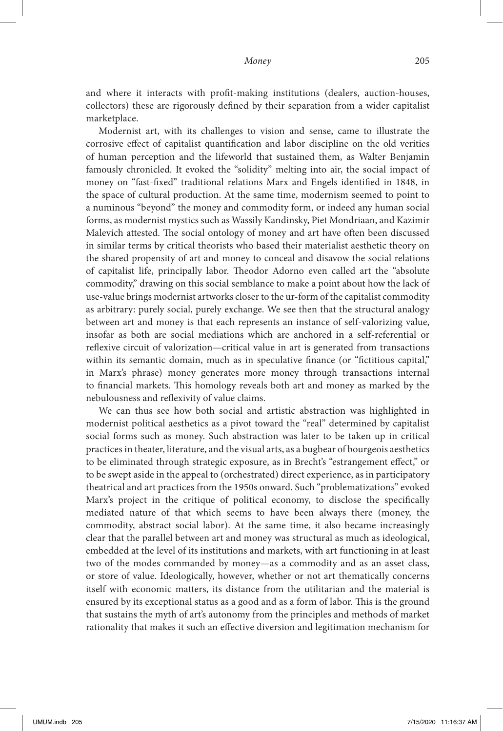and where it interacts with profit-making institutions (dealers, auction-houses, collectors) these are rigorously defined by their separation from a wider capitalist marketplace.

Modernist art, with its challenges to vision and sense, came to illustrate the corrosive effect of capitalist quantification and labor discipline on the old verities of human perception and the lifeworld that sustained them, as Walter Benjamin famously chronicled. It evoked the "solidity" melting into air, the social impact of money on "fast-fixed" traditional relations Marx and Engels identified in 1848, in the space of cultural production. At the same time, modernism seemed to point to a numinous "beyond" the money and commodity form, or indeed any human social forms, as modernist mystics such as Wassily Kandinsky, Piet Mondriaan, and Kazimir Malevich attested. The social ontology of money and art have often been discussed in similar terms by critical theorists who based their materialist aesthetic theory on the shared propensity of art and money to conceal and disavow the social relations of capitalist life, principally labor. Theodor Adorno even called art the "absolute commodity," drawing on this social semblance to make a point about how the lack of use-value brings modernist artworks closer to the ur-form of the capitalist commodity as arbitrary: purely social, purely exchange. We see then that the structural analogy between art and money is that each represents an instance of self-valorizing value, insofar as both are social mediations which are anchored in a self-referential or reflexive circuit of valorization—critical value in art is generated from transactions within its semantic domain, much as in speculative finance (or "fictitious capital," in Marx's phrase) money generates more money through transactions internal to financial markets. This homology reveals both art and money as marked by the nebulousness and reflexivity of value claims.

We can thus see how both social and artistic abstraction was highlighted in modernist political aesthetics as a pivot toward the "real" determined by capitalist social forms such as money. Such abstraction was later to be taken up in critical practices in theater, literature, and the visual arts, as a bugbear of bourgeois aesthetics to be eliminated through strategic exposure, as in Brecht's "estrangement effect," or to be swept aside in the appeal to (orchestrated) direct experience, as in participatory theatrical and art practices from the 1950s onward. Such "problematizations" evoked Marx's project in the critique of political economy, to disclose the specifically mediated nature of that which seems to have been always there (money, the commodity, abstract social labor). At the same time, it also became increasingly clear that the parallel between art and money was structural as much as ideological, embedded at the level of its institutions and markets, with art functioning in at least two of the modes commanded by money—as a commodity and as an asset class, or store of value. Ideologically, however, whether or not art thematically concerns itself with economic matters, its distance from the utilitarian and the material is ensured by its exceptional status as a good and as a form of labor. This is the ground that sustains the myth of art's autonomy from the principles and methods of market rationality that makes it such an effective diversion and legitimation mechanism for